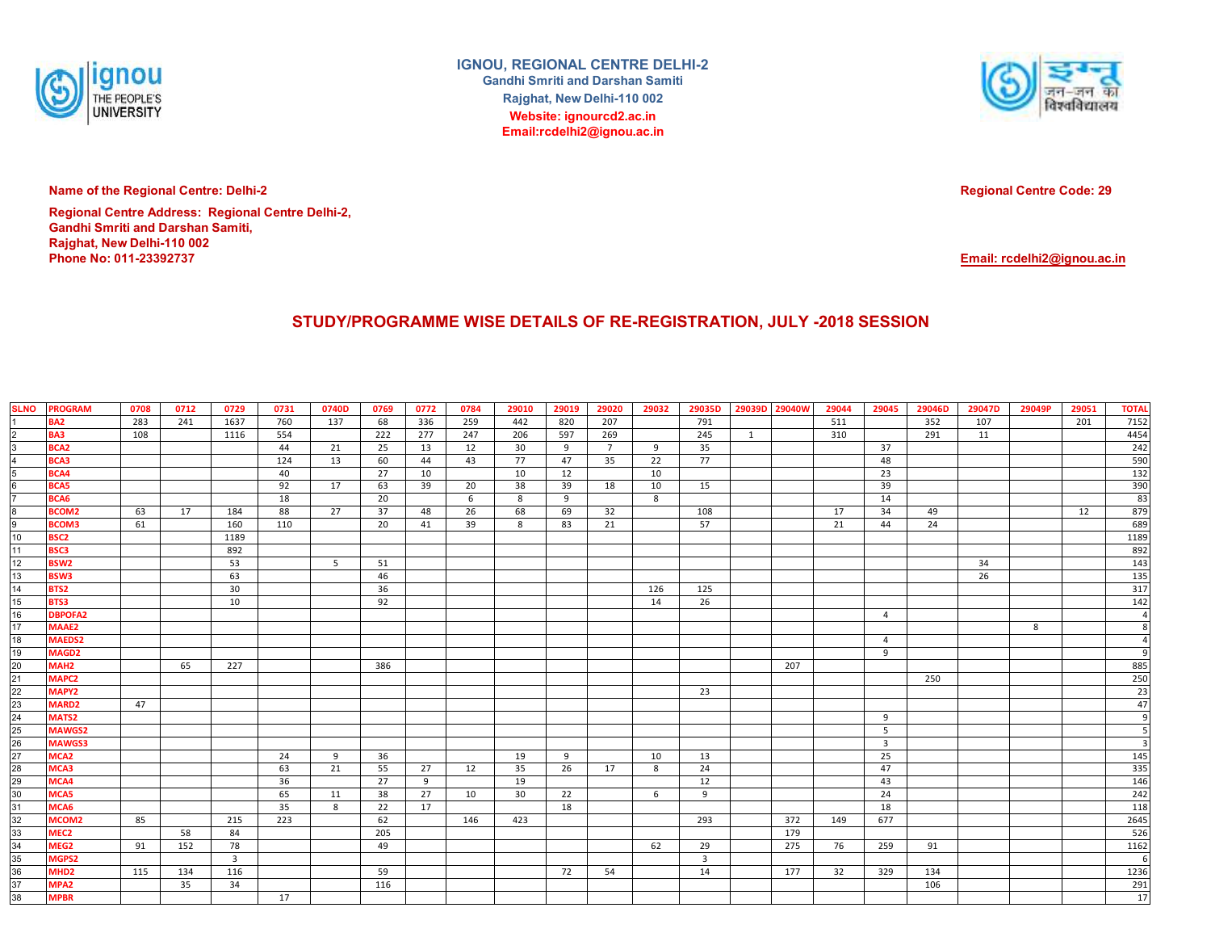

**IGNOU, REGIONAL CENTRE DELHI-2Gandhi Smriti and Darshan SamitiRajghat, New Delhi-110 002 Website: ignourcd2.ac.inEmail:rcdelhi2@ignou.ac.in**



**Name of the Regional Centre: Delhi-2**

**Phone No: 011-23392737 Regional Centre Address: Regional Centre Delhi-2, Gandhi Smriti and Darshan Samiti, Rajghat, New Delhi-110 002**

**Regional Centre Code: 29**

**Email: rcdelhi2@ignou.ac.in**

## **STUDY/PROGRAMME WISE DETAILS OF RE-REGISTRATION, JULY -2018 SESSION**

| <b>SLNO</b>                     | <b>PROGRAM</b>                    | 0708 | 0712 | 0729                    | 0731 | 0740D | 0769 | 0772 | 0784 | 29010 | 29019 | 29020       | 29032 | 29035D                  | 29039D 29040W |     | 29044 | 29045               | 29046D | 29047D | 29049P | 29051 | <b>TOTAL</b>     |
|---------------------------------|-----------------------------------|------|------|-------------------------|------|-------|------|------|------|-------|-------|-------------|-------|-------------------------|---------------|-----|-------|---------------------|--------|--------|--------|-------|------------------|
|                                 | BA <sub>2</sub>                   | 283  | 241  | 1637                    | 760  | 137   | 68   | 336  | 259  | 442   | 820   | 207         |       | 791                     |               |     | 511   |                     | 352    | 107    |        | 201   | 7152             |
| $\frac{2}{3}$                   | <b>BA3</b>                        | 108  |      | 1116                    | 554  |       | 222  | 277  | 247  | 206   | 597   | 269         |       | 245                     | 1             |     | 310   |                     | 291    | 11     |        |       | 4454             |
|                                 | BCA <sub>2</sub>                  |      |      |                         | 44   | 21    | 25   | 13   | 12   | 30    | 9     | $7^{\circ}$ | 9     | 35                      |               |     |       | 37                  |        |        |        |       | 242              |
| $\overline{4}$                  | BCA3                              |      |      |                         | 124  | 13    | 60   | 44   | 43   | 77    | 47    | 35          | 22    | 77                      |               |     |       | 48                  |        |        |        |       | 590              |
| 5                               | BCA4                              |      |      |                         | 40   |       | 27   | 10   |      | 10    | 12    |             | 10    |                         |               |     |       | 23                  |        |        |        |       | 132              |
| $6\phantom{a}$                  | BCA5                              |      |      |                         | 92   | 17    | 63   | 39   | 20   | 38    | 39    | 18          | 10    | 15                      |               |     |       | 39                  |        |        |        |       | 390              |
| $\overline{7}$                  | BCA6                              |      |      |                         | 18   |       | 20   |      | 6    | 8     | 9     |             | 8     |                         |               |     |       | 14                  |        |        |        |       | 83               |
| 8<br>9                          | <b>BCOM2</b>                      | 63   | 17   | 184                     | 88   | 27    | 37   | 48   | 26   | 68    | 69    | 32          |       | 108                     |               |     | 17    | 34                  | 49     |        |        | 12    | 879              |
|                                 | <b>BCOM3</b>                      | 61   |      | 160                     | 110  |       | 20   | 41   | 39   | 8     | 83    | 21          |       | 57                      |               |     | 21    | 44                  | 24     |        |        |       | 689              |
| 10                              | <b>BSC2</b>                       |      |      | 1189                    |      |       |      |      |      |       |       |             |       |                         |               |     |       |                     |        |        |        |       | 1189             |
| 11                              | BSC3                              |      |      | 892                     |      |       |      |      |      |       |       |             |       |                         |               |     |       |                     |        |        |        |       | 892              |
| 12                              | <b>BSW2</b>                       |      |      | 53                      |      | 5     | 51   |      |      |       |       |             |       |                         |               |     |       |                     |        | 34     |        |       | 143              |
| 13                              | <b>BSW3</b>                       |      |      | 63                      |      |       | 46   |      |      |       |       |             |       |                         |               |     |       |                     |        | 26     |        |       | 135              |
| 14                              | BTS2                              |      |      | 30                      |      |       | 36   |      |      |       |       |             | 126   | 125                     |               |     |       |                     |        |        |        |       | 317              |
| 15                              | BTS3                              |      |      | 10                      |      |       | 92   |      |      |       |       |             | 14    | 26                      |               |     |       |                     |        |        |        |       | 142              |
| 16                              | <b>DBPOFA2</b>                    |      |      |                         |      |       |      |      |      |       |       |             |       |                         |               |     |       | $\overline{4}$      |        |        |        |       | $\overline{A}$   |
| 17                              | <b>MAAE2</b>                      |      |      |                         |      |       |      |      |      |       |       |             |       |                         |               |     |       |                     |        |        | 8      |       | 8                |
| 18                              | <b>MAEDS2</b>                     |      |      |                         |      |       |      |      |      |       |       |             |       |                         |               |     |       | $\overline{4}$      |        |        |        |       | $\overline{a}$   |
| 19                              | MAGD <sub>2</sub>                 |      |      |                         |      |       |      |      |      |       |       |             |       |                         |               |     |       | 9                   |        |        |        |       | $\mathsf{q}$     |
| $20\,$                          | MAH <sub>2</sub>                  |      | 65   | 227                     |      |       | 386  |      |      |       |       |             |       |                         |               | 207 |       |                     |        |        |        |       | 885              |
| 21                              | MAPC <sub>2</sub>                 |      |      |                         |      |       |      |      |      |       |       |             |       |                         |               |     |       |                     | 250    |        |        |       | 250              |
|                                 | <b>MAPY2</b>                      |      |      |                         |      |       |      |      |      |       |       |             |       | 23                      |               |     |       |                     |        |        |        |       | 23               |
|                                 | <b>MARD2</b>                      | 47   |      |                         |      |       |      |      |      |       |       |             |       |                         |               |     |       |                     |        |        |        |       | 47<br>q          |
| $\frac{22}{24}$ $\frac{23}{25}$ | <b>MATS2</b>                      |      |      |                         |      |       |      |      |      |       |       |             |       |                         |               |     |       | 9                   |        |        |        |       | 5                |
|                                 | <b>MAWGS2</b>                     |      |      |                         |      |       |      |      |      |       |       |             |       |                         |               |     |       | 5<br>$\overline{3}$ |        |        |        |       |                  |
|                                 | <b>MAWGS3</b><br>MCA <sub>2</sub> |      |      |                         | 24   | 9     | 36   |      |      | 19    | 9     |             | 10    | 13                      |               |     |       | 25                  |        |        |        |       | 145              |
|                                 | MCA3                              |      |      |                         | 63   | 21    | 55   | 27   | 12   | 35    | 26    | 17          | 8     | 24                      |               |     |       | 47                  |        |        |        |       | 335              |
|                                 | MCA4                              |      |      |                         | 36   |       | 27   | 9    |      | 19    |       |             |       | 12                      |               |     |       | 43                  |        |        |        |       | 146              |
|                                 | MCA5                              |      |      |                         | 65   | 11    | 38   | 27   | 10   | 30    | 22    |             | 6     | 9                       |               |     |       | 24                  |        |        |        |       | 242              |
|                                 | MCA6                              |      |      |                         | 35   | 8     | 22   | 17   |      |       | 18    |             |       |                         |               |     |       | 18                  |        |        |        |       | 118              |
|                                 | MCOM <sub>2</sub>                 | 85   |      | 215                     | 223  |       | 62   |      | 146  | 423   |       |             |       | 293                     |               | 372 | 149   | 677                 |        |        |        |       | 2645             |
|                                 | MEC <sub>2</sub>                  |      | 58   | 84                      |      |       | 205  |      |      |       |       |             |       |                         |               | 179 |       |                     |        |        |        |       | 526              |
|                                 | MEG <sub>2</sub>                  | 91   | 152  | 78                      |      |       | 49   |      |      |       |       |             | 62    | 29                      |               | 275 | 76    | 259                 | 91     |        |        |       | 1162             |
|                                 | MGPS2                             |      |      | $\overline{\mathbf{3}}$ |      |       |      |      |      |       |       |             |       | $\overline{\mathbf{3}}$ |               |     |       |                     |        |        |        |       | $\epsilon$       |
| 36                              | MHD <sub>2</sub>                  | 115  | 134  | 116                     |      |       | 59   |      |      |       | 72    | 54          |       | 14                      |               | 177 | 32    | 329                 | 134    |        |        |       | 1236             |
| 37                              | MPA <sub>2</sub>                  |      | 35   | 34                      |      |       | 116  |      |      |       |       |             |       |                         |               |     |       |                     | 106    |        |        |       |                  |
| 38                              | <b>MPBR</b>                       |      |      |                         | 17   |       |      |      |      |       |       |             |       |                         |               |     |       |                     |        |        |        |       | $\frac{291}{17}$ |